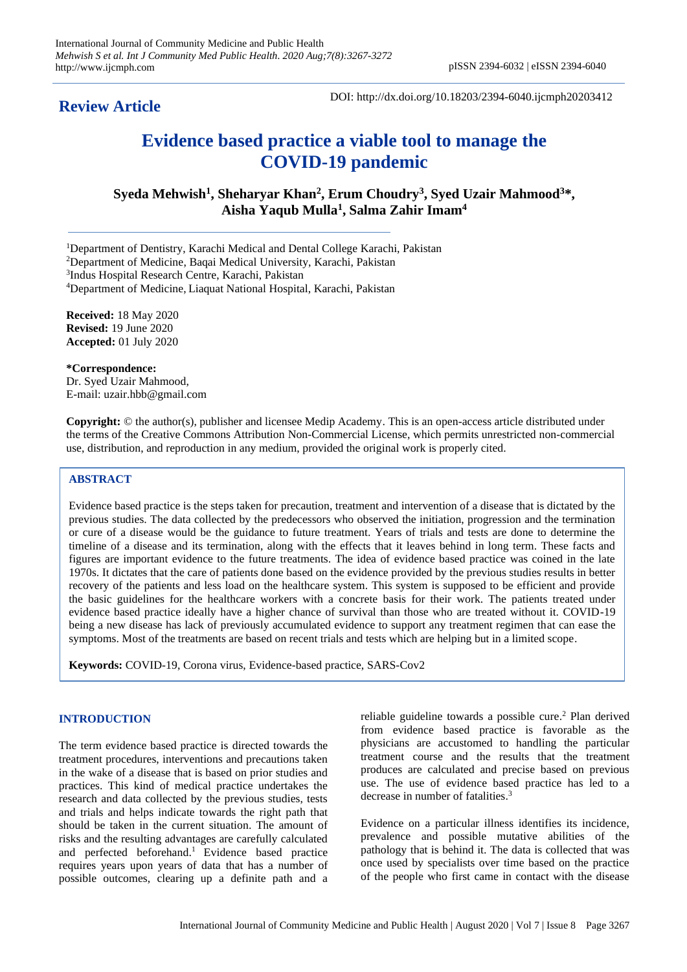**Review Article**

DOI: http://dx.doi.org/10.18203/2394-6040.ijcmph20203412

# **Evidence based practice a viable tool to manage the COVID-19 pandemic**

**Syeda Mehwish<sup>1</sup> , Sheharyar Khan<sup>2</sup> , Erum Choudry<sup>3</sup> , Syed Uzair Mahmood<sup>3</sup>\*, Aisha Yaqub Mulla<sup>1</sup> , Salma Zahir Imam<sup>4</sup>**

<sup>1</sup>Department of Dentistry, Karachi Medical and Dental College Karachi, Pakistan

<sup>2</sup>Department of Medicine, Baqai Medical University, Karachi, Pakistan

3 Indus Hospital Research Centre, Karachi, Pakistan

<sup>4</sup>Department of Medicine, Liaquat National Hospital, Karachi, Pakistan

**Received:** 18 May 2020 **Revised:** 19 June 2020 **Accepted:** 01 July 2020

**\*Correspondence:** Dr. Syed Uzair Mahmood, E-mail: uzair.hbb@gmail.com

**Copyright:** © the author(s), publisher and licensee Medip Academy. This is an open-access article distributed under the terms of the Creative Commons Attribution Non-Commercial License, which permits unrestricted non-commercial use, distribution, and reproduction in any medium, provided the original work is properly cited.

## **ABSTRACT**

Evidence based practice is the steps taken for precaution, treatment and intervention of a disease that is dictated by the previous studies. The data collected by the predecessors who observed the initiation, progression and the termination or cure of a disease would be the guidance to future treatment. Years of trials and tests are done to determine the timeline of a disease and its termination, along with the effects that it leaves behind in long term. These facts and figures are important evidence to the future treatments. The idea of evidence based practice was coined in the late 1970s. It dictates that the care of patients done based on the evidence provided by the previous studies results in better recovery of the patients and less load on the healthcare system. This system is supposed to be efficient and provide the basic guidelines for the healthcare workers with a concrete basis for their work. The patients treated under evidence based practice ideally have a higher chance of survival than those who are treated without it. COVID-19 being a new disease has lack of previously accumulated evidence to support any treatment regimen that can ease the symptoms. Most of the treatments are based on recent trials and tests which are helping but in a limited scope.

**Keywords:** COVID-19, Corona virus, Evidence-based practice, SARS-Cov2

#### **INTRODUCTION**

The term evidence based practice is directed towards the treatment procedures, interventions and precautions taken in the wake of a disease that is based on prior studies and practices. This kind of medical practice undertakes the research and data collected by the previous studies, tests and trials and helps indicate towards the right path that should be taken in the current situation. The amount of risks and the resulting advantages are carefully calculated and perfected beforehand. <sup>1</sup> Evidence based practice requires years upon years of data that has a number of possible outcomes, clearing up a definite path and a

reliable guideline towards a possible cure. <sup>2</sup> Plan derived from evidence based practice is favorable as the physicians are accustomed to handling the particular treatment course and the results that the treatment produces are calculated and precise based on previous use. The use of evidence based practice has led to a decrease in number of fatalities. 3

Evidence on a particular illness identifies its incidence, prevalence and possible mutative abilities of the pathology that is behind it. The data is collected that was once used by specialists over time based on the practice of the people who first came in contact with the disease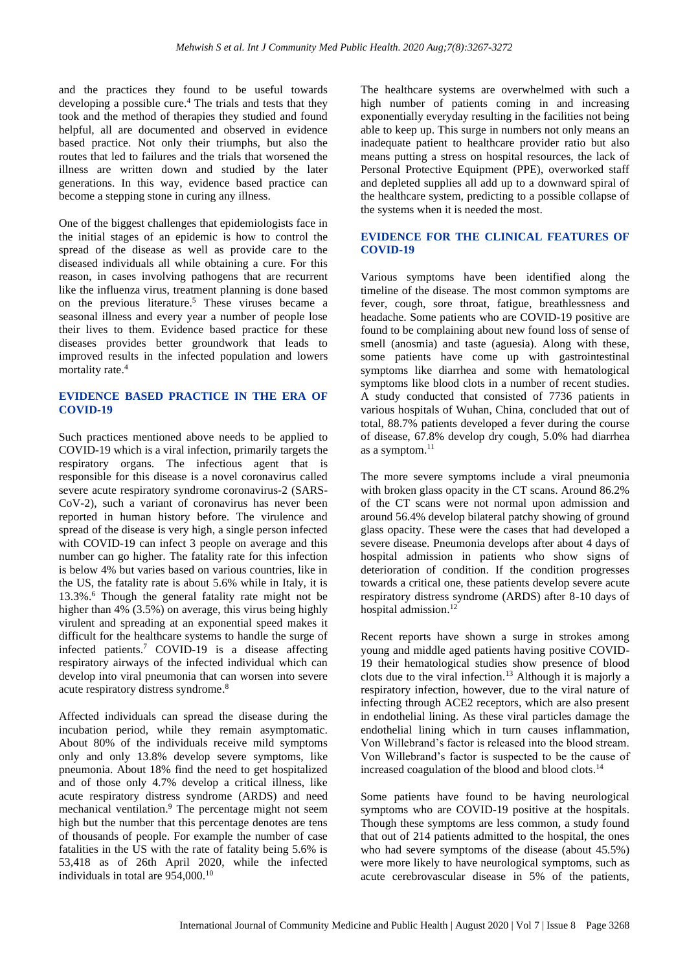and the practices they found to be useful towards developing a possible cure. <sup>4</sup> The trials and tests that they took and the method of therapies they studied and found helpful, all are documented and observed in evidence based practice. Not only their triumphs, but also the routes that led to failures and the trials that worsened the illness are written down and studied by the later generations. In this way, evidence based practice can become a stepping stone in curing any illness.

One of the biggest challenges that epidemiologists face in the initial stages of an epidemic is how to control the spread of the disease as well as provide care to the diseased individuals all while obtaining a cure. For this reason, in cases involving pathogens that are recurrent like the influenza virus, treatment planning is done based on the previous literature. <sup>5</sup> These viruses became a seasonal illness and every year a number of people lose their lives to them. Evidence based practice for these diseases provides better groundwork that leads to improved results in the infected population and lowers mortality rate. 4

# **EVIDENCE BASED PRACTICE IN THE ERA OF COVID-19**

Such practices mentioned above needs to be applied to COVID-19 which is a viral infection, primarily targets the respiratory organs. The infectious agent that is responsible for this disease is a novel coronavirus called severe acute respiratory syndrome coronavirus-2 (SARS-CoV-2), such a variant of coronavirus has never been reported in human history before. The virulence and spread of the disease is very high, a single person infected with COVID-19 can infect 3 people on average and this number can go higher. The fatality rate for this infection is below 4% but varies based on various countries, like in the US, the fatality rate is about 5.6% while in Italy, it is 13.3%. <sup>6</sup> Though the general fatality rate might not be higher than 4% (3.5%) on average, this virus being highly virulent and spreading at an exponential speed makes it difficult for the healthcare systems to handle the surge of infected patients. <sup>7</sup> COVID-19 is a disease affecting respiratory airways of the infected individual which can develop into viral pneumonia that can worsen into severe acute respiratory distress syndrome. 8

Affected individuals can spread the disease during the incubation period, while they remain asymptomatic. About 80% of the individuals receive mild symptoms only and only 13.8% develop severe symptoms, like pneumonia. About 18% find the need to get hospitalized and of those only 4.7% develop a critical illness, like acute respiratory distress syndrome (ARDS) and need mechanical ventilation. <sup>9</sup> The percentage might not seem high but the number that this percentage denotes are tens of thousands of people. For example the number of case fatalities in the US with the rate of fatality being 5.6% is 53,418 as of 26th April 2020, while the infected individuals in total are 954,000.<sup>10</sup>

The healthcare systems are overwhelmed with such a high number of patients coming in and increasing exponentially everyday resulting in the facilities not being able to keep up. This surge in numbers not only means an inadequate patient to healthcare provider ratio but also means putting a stress on hospital resources, the lack of Personal Protective Equipment (PPE), overworked staff and depleted supplies all add up to a downward spiral of the healthcare system, predicting to a possible collapse of the systems when it is needed the most.

#### **EVIDENCE FOR THE CLINICAL FEATURES OF COVID-19**

Various symptoms have been identified along the timeline of the disease. The most common symptoms are fever, cough, sore throat, fatigue, breathlessness and headache. Some patients who are COVID-19 positive are found to be complaining about new found loss of sense of smell (anosmia) and taste (aguesia). Along with these, some patients have come up with gastrointestinal symptoms like diarrhea and some with hematological symptoms like blood clots in a number of recent studies. A study conducted that consisted of 7736 patients in various hospitals of Wuhan, China, concluded that out of total, 88.7% patients developed a fever during the course of disease, 67.8% develop dry cough, 5.0% had diarrhea as a symptom.<sup>11</sup>

The more severe symptoms include a viral pneumonia with broken glass opacity in the CT scans. Around 86.2% of the CT scans were not normal upon admission and around 56.4% develop bilateral patchy showing of ground glass opacity. These were the cases that had developed a severe disease. Pneumonia develops after about 4 days of hospital admission in patients who show signs of deterioration of condition. If the condition progresses towards a critical one, these patients develop severe acute respiratory distress syndrome (ARDS) after 8-10 days of hospital admission. 12

Recent reports have shown a surge in strokes among young and middle aged patients having positive COVID-19 their hematological studies show presence of blood clots due to the viral infection.<sup>13</sup> Although it is majorly a respiratory infection, however, due to the viral nature of infecting through ACE2 receptors, which are also present in endothelial lining. As these viral particles damage the endothelial lining which in turn causes inflammation, Von Willebrand's factor is released into the blood stream. Von Willebrand's factor is suspected to be the cause of increased coagulation of the blood and blood clots. 14

Some patients have found to be having neurological symptoms who are COVID-19 positive at the hospitals. Though these symptoms are less common, a study found that out of 214 patients admitted to the hospital, the ones who had severe symptoms of the disease (about 45.5%) were more likely to have neurological symptoms, such as acute cerebrovascular disease in 5% of the patients,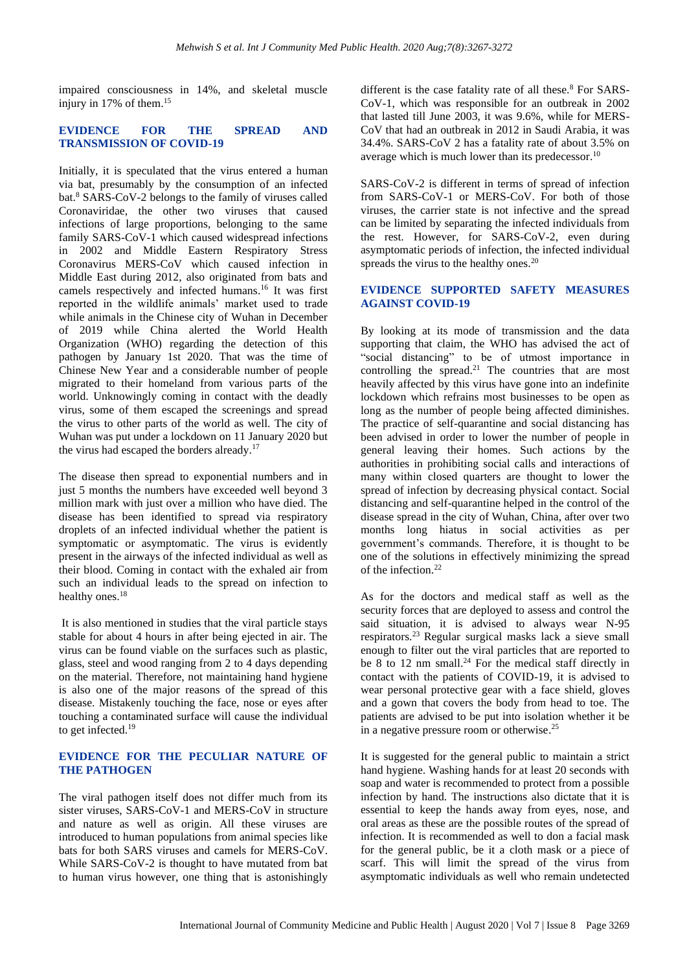impaired consciousness in 14%, and skeletal muscle injury in 17% of them. 15

## **EVIDENCE FOR THE SPREAD AND TRANSMISSION OF COVID-19**

Initially, it is speculated that the virus entered a human via bat, presumably by the consumption of an infected bat.<sup>8</sup> SARS-CoV-2 belongs to the family of viruses called Coronaviridae, the other two viruses that caused infections of large proportions, belonging to the same family SARS-CoV-1 which caused widespread infections in 2002 and Middle Eastern Respiratory Stress Coronavirus MERS-CoV which caused infection in Middle East during 2012, also originated from bats and camels respectively and infected humans. <sup>16</sup> It was first reported in the wildlife animals' market used to trade while animals in the Chinese city of Wuhan in December of 2019 while China alerted the World Health Organization (WHO) regarding the detection of this pathogen by January 1st 2020. That was the time of Chinese New Year and a considerable number of people migrated to their homeland from various parts of the world. Unknowingly coming in contact with the deadly virus, some of them escaped the screenings and spread the virus to other parts of the world as well. The city of Wuhan was put under a lockdown on 11 January 2020 but the virus had escaped the borders already.<sup>17</sup>

The disease then spread to exponential numbers and in just 5 months the numbers have exceeded well beyond 3 million mark with just over a million who have died. The disease has been identified to spread via respiratory droplets of an infected individual whether the patient is symptomatic or asymptomatic. The virus is evidently present in the airways of the infected individual as well as their blood. Coming in contact with the exhaled air from such an individual leads to the spread on infection to healthy ones.<sup>18</sup>

It is also mentioned in studies that the viral particle stays stable for about 4 hours in after being ejected in air. The virus can be found viable on the surfaces such as plastic, glass, steel and wood ranging from 2 to 4 days depending on the material. Therefore, not maintaining hand hygiene is also one of the major reasons of the spread of this disease. Mistakenly touching the face, nose or eyes after touching a contaminated surface will cause the individual to get infected.<sup>19</sup>

### **EVIDENCE FOR THE PECULIAR NATURE OF THE PATHOGEN**

The viral pathogen itself does not differ much from its sister viruses, SARS-CoV-1 and MERS-CoV in structure and nature as well as origin. All these viruses are introduced to human populations from animal species like bats for both SARS viruses and camels for MERS-CoV. While SARS-CoV-2 is thought to have mutated from bat to human virus however, one thing that is astonishingly

different is the case fatality rate of all these. $8$  For SARS-CoV-1, which was responsible for an outbreak in 2002 that lasted till June 2003, it was 9.6%, while for MERS-CoV that had an outbreak in 2012 in Saudi Arabia, it was 34.4%. SARS-CoV 2 has a fatality rate of about 3.5% on average which is much lower than its predecessor.<sup>10</sup>

SARS-CoV-2 is different in terms of spread of infection from SARS-CoV-1 or MERS-CoV. For both of those viruses, the carrier state is not infective and the spread can be limited by separating the infected individuals from the rest. However, for SARS-CoV-2, even during asymptomatic periods of infection, the infected individual spreads the virus to the healthy ones.<sup>20</sup>

## **EVIDENCE SUPPORTED SAFETY MEASURES AGAINST COVID-19**

By looking at its mode of transmission and the data supporting that claim, the WHO has advised the act of "social distancing" to be of utmost importance in controlling the spread. <sup>21</sup> The countries that are most heavily affected by this virus have gone into an indefinite lockdown which refrains most businesses to be open as long as the number of people being affected diminishes. The practice of self-quarantine and social distancing has been advised in order to lower the number of people in general leaving their homes. Such actions by the authorities in prohibiting social calls and interactions of many within closed quarters are thought to lower the spread of infection by decreasing physical contact. Social distancing and self-quarantine helped in the control of the disease spread in the city of Wuhan, China, after over two months long hiatus in social activities as per government's commands. Therefore, it is thought to be one of the solutions in effectively minimizing the spread of the infection.<sup>22</sup>

As for the doctors and medical staff as well as the security forces that are deployed to assess and control the said situation, it is advised to always wear N-95 respirators.<sup>23</sup> Regular surgical masks lack a sieve small enough to filter out the viral particles that are reported to be 8 to 12 nm small.<sup>24</sup> For the medical staff directly in contact with the patients of COVID-19, it is advised to wear personal protective gear with a face shield, gloves and a gown that covers the body from head to toe. The patients are advised to be put into isolation whether it be in a negative pressure room or otherwise.<sup>25</sup>

It is suggested for the general public to maintain a strict hand hygiene. Washing hands for at least 20 seconds with soap and water is recommended to protect from a possible infection by hand. The instructions also dictate that it is essential to keep the hands away from eyes, nose, and oral areas as these are the possible routes of the spread of infection. It is recommended as well to don a facial mask for the general public, be it a cloth mask or a piece of scarf. This will limit the spread of the virus from asymptomatic individuals as well who remain undetected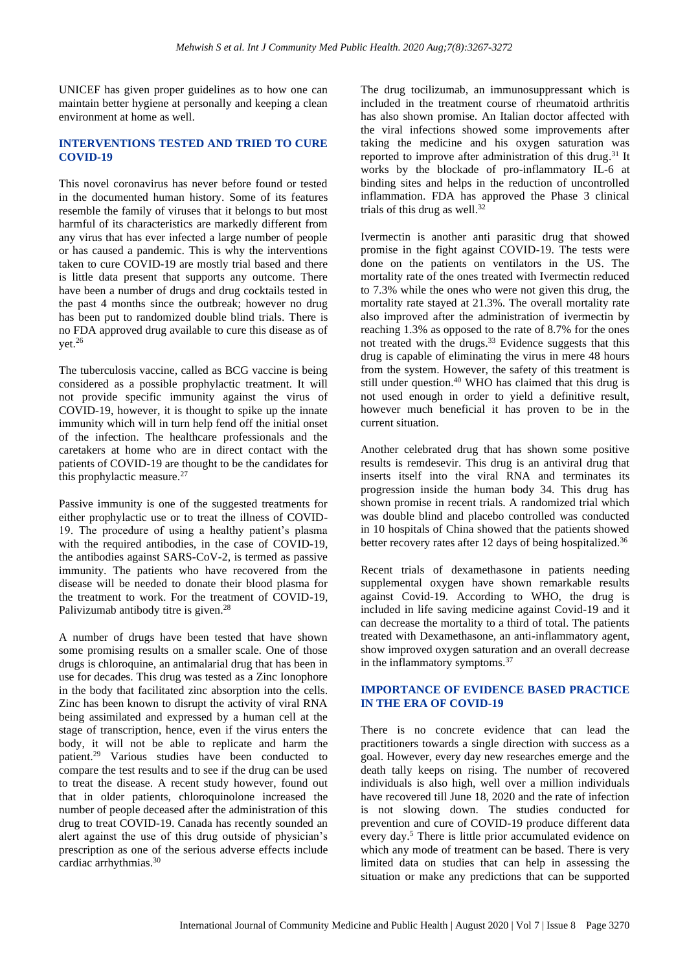UNICEF has given proper guidelines as to how one can maintain better hygiene at personally and keeping a clean environment at home as well.

#### **INTERVENTIONS TESTED AND TRIED TO CURE COVID-19**

This novel coronavirus has never before found or tested in the documented human history. Some of its features resemble the family of viruses that it belongs to but most harmful of its characteristics are markedly different from any virus that has ever infected a large number of people or has caused a pandemic. This is why the interventions taken to cure COVID-19 are mostly trial based and there is little data present that supports any outcome. There have been a number of drugs and drug cocktails tested in the past 4 months since the outbreak; however no drug has been put to randomized double blind trials. There is no FDA approved drug available to cure this disease as of vet. $^{26}$ 

The tuberculosis vaccine, called as BCG vaccine is being considered as a possible prophylactic treatment. It will not provide specific immunity against the virus of COVID-19, however, it is thought to spike up the innate immunity which will in turn help fend off the initial onset of the infection. The healthcare professionals and the caretakers at home who are in direct contact with the patients of COVID-19 are thought to be the candidates for this prophylactic measure. $27$ 

Passive immunity is one of the suggested treatments for either prophylactic use or to treat the illness of COVID-19. The procedure of using a healthy patient's plasma with the required antibodies, in the case of COVID-19, the antibodies against SARS-CoV-2, is termed as passive immunity. The patients who have recovered from the disease will be needed to donate their blood plasma for the treatment to work. For the treatment of COVID-19, Palivizumab antibody titre is given.<sup>28</sup>

A number of drugs have been tested that have shown some promising results on a smaller scale. One of those drugs is chloroquine, an antimalarial drug that has been in use for decades. This drug was tested as a Zinc Ionophore in the body that facilitated zinc absorption into the cells. Zinc has been known to disrupt the activity of viral RNA being assimilated and expressed by a human cell at the stage of transcription, hence, even if the virus enters the body, it will not be able to replicate and harm the patient. <sup>29</sup> Various studies have been conducted to compare the test results and to see if the drug can be used to treat the disease. A recent study however, found out that in older patients, chloroquinolone increased the number of people deceased after the administration of this drug to treat COVID-19. Canada has recently sounded an alert against the use of this drug outside of physician's prescription as one of the serious adverse effects include cardiac arrhythmias.<sup>30</sup>

The drug tocilizumab, an immunosuppressant which is included in the treatment course of rheumatoid arthritis has also shown promise. An Italian doctor affected with the viral infections showed some improvements after taking the medicine and his oxygen saturation was reported to improve after administration of this drug.<sup>31</sup> It works by the blockade of pro-inflammatory IL-6 at binding sites and helps in the reduction of uncontrolled inflammation. FDA has approved the Phase 3 clinical trials of this drug as well. 32

Ivermectin is another anti parasitic drug that showed promise in the fight against COVID-19. The tests were done on the patients on ventilators in the US. The mortality rate of the ones treated with Ivermectin reduced to 7.3% while the ones who were not given this drug, the mortality rate stayed at 21.3%. The overall mortality rate also improved after the administration of ivermectin by reaching 1.3% as opposed to the rate of 8.7% for the ones not treated with the drugs. <sup>33</sup> Evidence suggests that this drug is capable of eliminating the virus in mere 48 hours from the system. However, the safety of this treatment is still under question. <sup>40</sup> WHO has claimed that this drug is not used enough in order to yield a definitive result, however much beneficial it has proven to be in the current situation.

Another celebrated drug that has shown some positive results is remdesevir. This drug is an antiviral drug that inserts itself into the viral RNA and terminates its progression inside the human body 34. This drug has shown promise in recent trials. A randomized trial which was double blind and placebo controlled was conducted in 10 hospitals of China showed that the patients showed better recovery rates after 12 days of being hospitalized.<sup>36</sup>

Recent trials of dexamethasone in patients needing supplemental oxygen have shown remarkable results against Covid-19. According to WHO, the drug is included in life saving medicine against Covid-19 and it can decrease the mortality to a third of total. The patients treated with Dexamethasone, an anti-inflammatory agent, show improved oxygen saturation and an overall decrease in the inflammatory symptoms.<sup>37</sup>

# **IMPORTANCE OF EVIDENCE BASED PRACTICE IN THE ERA OF COVID-19**

There is no concrete evidence that can lead the practitioners towards a single direction with success as a goal. However, every day new researches emerge and the death tally keeps on rising. The number of recovered individuals is also high, well over a million individuals have recovered till June 18, 2020 and the rate of infection is not slowing down. The studies conducted for prevention and cure of COVID-19 produce different data every day.<sup>5</sup> There is little prior accumulated evidence on which any mode of treatment can be based. There is very limited data on studies that can help in assessing the situation or make any predictions that can be supported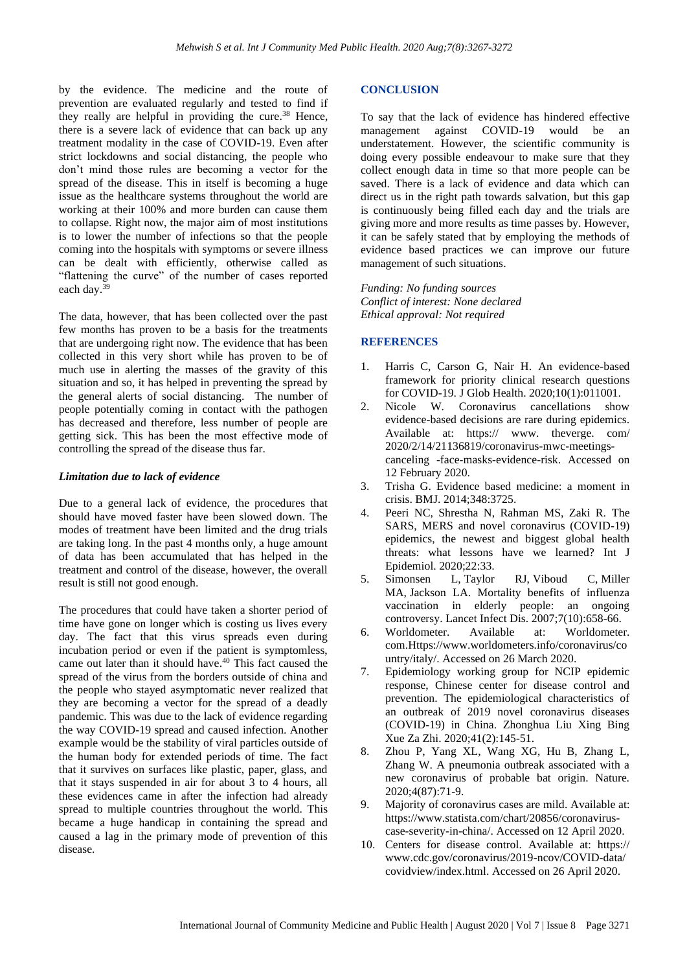by the evidence. The medicine and the route of prevention are evaluated regularly and tested to find if they really are helpful in providing the cure. <sup>38</sup> Hence, there is a severe lack of evidence that can back up any treatment modality in the case of COVID-19. Even after strict lockdowns and social distancing, the people who don't mind those rules are becoming a vector for the spread of the disease. This in itself is becoming a huge issue as the healthcare systems throughout the world are working at their 100% and more burden can cause them to collapse. Right now, the major aim of most institutions is to lower the number of infections so that the people coming into the hospitals with symptoms or severe illness can be dealt with efficiently, otherwise called as "flattening the curve" of the number of cases reported each day.<sup>39</sup>

The data, however, that has been collected over the past few months has proven to be a basis for the treatments that are undergoing right now. The evidence that has been collected in this very short while has proven to be of much use in alerting the masses of the gravity of this situation and so, it has helped in preventing the spread by the general alerts of social distancing. The number of people potentially coming in contact with the pathogen has decreased and therefore, less number of people are getting sick. This has been the most effective mode of controlling the spread of the disease thus far.

#### *Limitation due to lack of evidence*

Due to a general lack of evidence, the procedures that should have moved faster have been slowed down. The modes of treatment have been limited and the drug trials are taking long. In the past 4 months only, a huge amount of data has been accumulated that has helped in the treatment and control of the disease, however, the overall result is still not good enough.

The procedures that could have taken a shorter period of time have gone on longer which is costing us lives every day. The fact that this virus spreads even during incubation period or even if the patient is symptomless, came out later than it should have. <sup>40</sup> This fact caused the spread of the virus from the borders outside of china and the people who stayed asymptomatic never realized that they are becoming a vector for the spread of a deadly pandemic. This was due to the lack of evidence regarding the way COVID-19 spread and caused infection. Another example would be the stability of viral particles outside of the human body for extended periods of time. The fact that it survives on surfaces like plastic, paper, glass, and that it stays suspended in air for about 3 to 4 hours, all these evidences came in after the infection had already spread to multiple countries throughout the world. This became a huge handicap in containing the spread and caused a lag in the primary mode of prevention of this disease.

#### **CONCLUSION**

To say that the lack of evidence has hindered effective management against COVID-19 would be an understatement. However, the scientific community is doing every possible endeavour to make sure that they collect enough data in time so that more people can be saved. There is a lack of evidence and data which can direct us in the right path towards salvation, but this gap is continuously being filled each day and the trials are giving more and more results as time passes by. However, it can be safely stated that by employing the methods of evidence based practices we can improve our future management of such situations.

*Funding: No funding sources Conflict of interest: None declared Ethical approval: Not required*

#### **REFERENCES**

- 1. Harris C, Carson G, Nair H. An evidence-based framework for priority clinical research questions for COVID-19. J Glob Health. 2020;10(1):011001.
- 2. Nicole W. Coronavirus cancellations show evidence-based decisions are rare during epidemics. Available at: https:// www. theverge. com/ 2020/2/14/21136819/coronavirus-mwc-meetingscanceling -face-masks-evidence-risk. Accessed on 12 February 2020.
- 3. Trisha G. Evidence based medicine: a moment in crisis. BMJ. 2014;348:3725.
- 4. Peeri NC, Shrestha N, Rahman MS, Zaki R. The SARS, MERS and novel coronavirus (COVID-19) epidemics, the newest and biggest global health threats: what lessons have we learned? Int J Epidemiol. 2020;22:33.
- 5. Simonsen L, Taylor RJ, Viboud C, Miller MA, Jackson LA. Mortality benefits of influenza vaccination in elderly people: an ongoing controversy. Lancet Infect Dis. 2007;7(10):658-66.
- 6. Worldometer. Available at: Worldometer. com.Https://www.worldometers.info/coronavirus/co untry/italy/. Accessed on 26 March 2020.
- 7. Epidemiology working group for NCIP epidemic response, Chinese center for disease control and prevention. The epidemiological characteristics of an outbreak of 2019 novel coronavirus diseases (COVID-19) in China. Zhonghua Liu Xing Bing Xue Za Zhi. 2020;41(2):145-51.
- 8. Zhou P, Yang XL, Wang XG, Hu B, Zhang L, Zhang W. A pneumonia outbreak associated with a new coronavirus of probable bat origin. Nature. 2020;4(87):71-9.
- 9. Majority of coronavirus cases are mild. Available at: https://www.statista.com/chart/20856/coronaviruscase-severity-in-china/. Accessed on 12 April 2020.
- 10. Centers for disease control. Available at: https:// www.cdc.gov/coronavirus/2019-ncov/COVID-data/ covidview/index.html. Accessed on 26 April 2020.